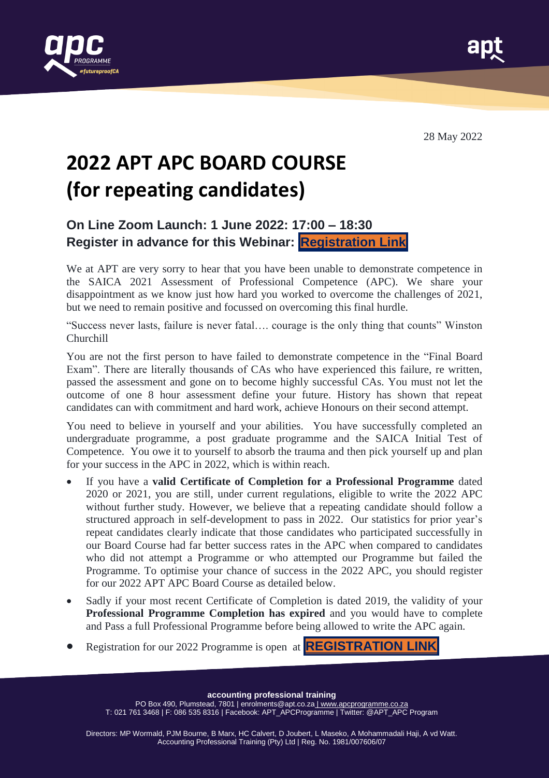



28 May 2022

# **2022 APT APC BOARD COURSE (for repeating candidates)**

#### **On Line Zoom Launch: 1 June 2022: 17:00 – 18:30 Register in advance for this Webinar: [Registration](https://eur01.safelinks.protection.outlook.com/?url=https%3A%2F%2Fzoom.us%2Fwebinar%2Fregister%2FWN_QkZ3qDazRWSY_MkeaJeOCQ&data=05%7C01%7Cmhvanwyk%40uj.ac.za%7Ce2b5c5a91c07401a297708da38c013b5%7Cfa785acd36ef41bc8a9489841327e045%7C1%7C0%7C637884694882635409%7CUnknown%7CTWFpbGZsb3d8eyJWIjoiMC4wLjAwMDAiLCJQIjoiV2luMzIiLCJBTiI6Ik1haWwiLCJXVCI6Mn0%3D%7C3000%7C%7C%7C&sdata=4oaL59PzEEC8uT3iAshMsfkSv1fhx%2B1eVfO63wjXtU4%3D&reserved=0) Link**

We at APT are very sorry to hear that you have been unable to demonstrate competence in the SAICA 2021 Assessment of Professional Competence (APC). We share your disappointment as we know just how hard you worked to overcome the challenges of 2021, but we need to remain positive and focussed on overcoming this final hurdle.

"Success never lasts, failure is never fatal…. courage is the only thing that counts" Winston Churchill

You are not the first person to have failed to demonstrate competence in the "Final Board Exam". There are literally thousands of CAs who have experienced this failure, re written, passed the assessment and gone on to become highly successful CAs. You must not let the outcome of one 8 hour assessment define your future. History has shown that repeat candidates can with commitment and hard work, achieve Honours on their second attempt.

You need to believe in yourself and your abilities. You have successfully completed an undergraduate programme, a post graduate programme and the SAICA Initial Test of Competence. You owe it to yourself to absorb the trauma and then pick yourself up and plan for your success in the APC in 2022, which is within reach.

- If you have a **valid Certificate of Completion for a Professional Programme** dated 2020 or 2021, you are still, under current regulations, eligible to write the 2022 APC without further study. However, we believe that a repeating candidate should follow a structured approach in self-development to pass in 2022. Our statistics for prior year's repeat candidates clearly indicate that those candidates who participated successfully in our Board Course had far better success rates in the APC when compared to candidates who did not attempt a Programme or who attempted our Programme but failed the Programme. To optimise your chance of success in the 2022 APC, you should register for our 2022 APT APC Board Course as detailed below.
- Sadly if your most recent Certificate of Completion is dated 2019, the validity of your **Professional Programme Completion has expired** and you would have to complete and Pass a full Professional Programme before being allowed to write the APC again.
- Registration for our 2022 Programme is open at **[REGISTRATION](https://www.apcprogramme.co.za/apc-programme-repeat.html) LINK**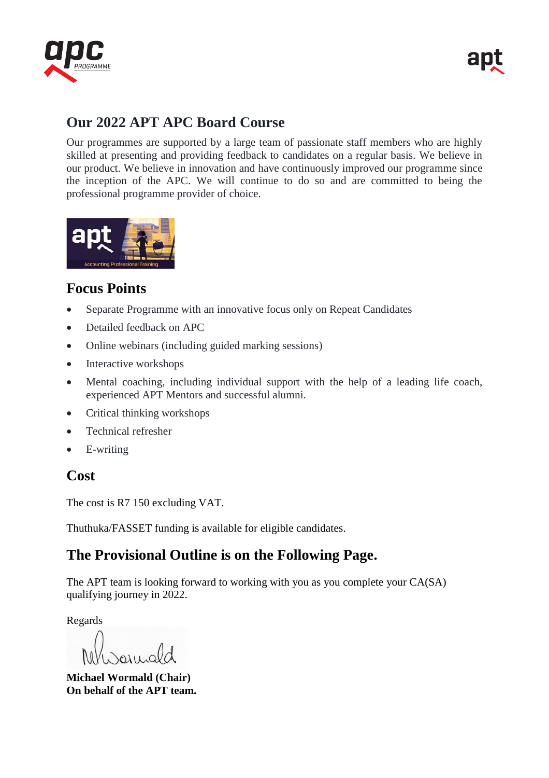

# **Our 2022 APT APC Board Course**

Our programmes are supported by a large team of passionate staff members who are highly skilled at presenting and providing feedback to candidates on a regular basis. We believe in our product. We believe in innovation and have continuously improved our programme since the inception of the APC. We will continue to do so and are committed to being the professional programme provider of choice.



### **Focus Points**

- Separate Programme with an innovative focus only on Repeat Candidates
- Detailed feedback on APC
- Online webinars (including guided marking sessions)
- Interactive workshops
- Mental coaching, including individual support with the help of a leading life coach, experienced APT Mentors and successful alumni.
- Critical thinking workshops
- Technical refresher
- E-writing

#### **Cost**

The cost is R7 150 excluding VAT.

Thuthuka/FASSET funding is available for eligible candidates.

# **The Provisional Outline is on the Following Page.**

The APT team is looking forward to working with you as you complete your CA(SA) qualifying journey in 2022.

Regards

**Michael Wormald (Chair) On behalf of the APT team.**